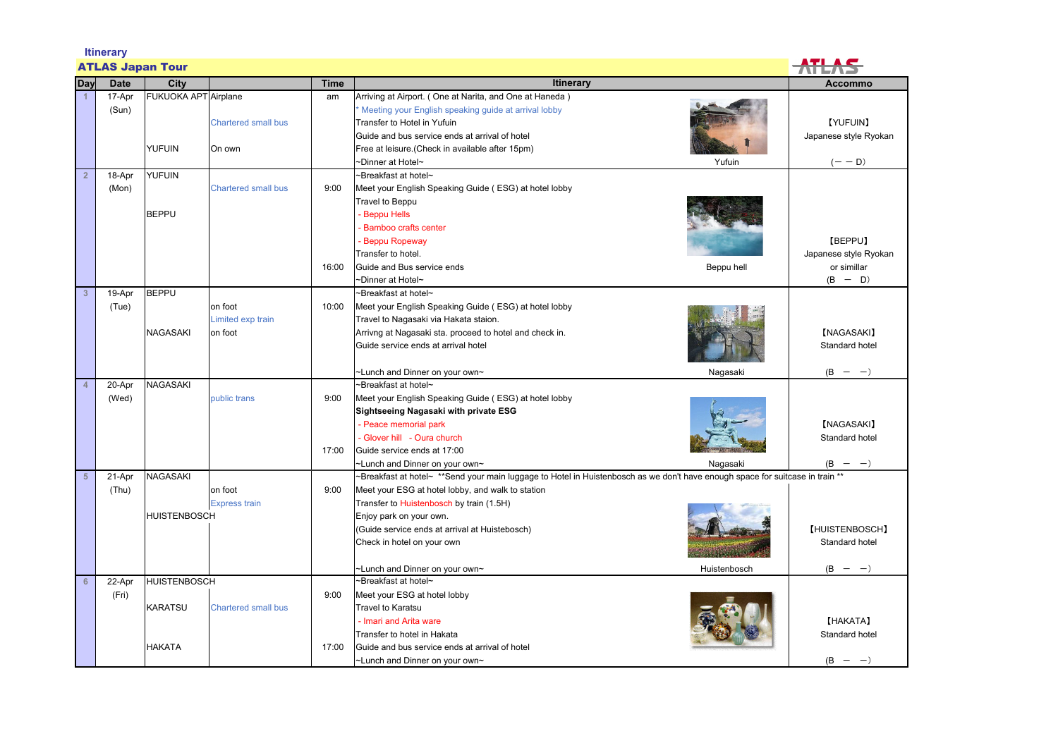## **Itinerary**

| <b>ATLAS Japan Tour</b> |                 |                      |                            |             |                                                                                                                               |              |                                   |  |
|-------------------------|-----------------|----------------------|----------------------------|-------------|-------------------------------------------------------------------------------------------------------------------------------|--------------|-----------------------------------|--|
| Day                     | <b>Date</b>     | City                 |                            | <b>Time</b> | <b>Itinerary</b>                                                                                                              |              | <b>Accommo</b>                    |  |
|                         | 17-Apr<br>(Sun) | FUKUOKA APT Airplane |                            | am          | Arriving at Airport. (One at Narita, and One at Haneda)<br>Meeting your English speaking guide at arrival lobby               |              |                                   |  |
|                         |                 |                      | <b>Chartered small bus</b> |             | Transfer to Hotel in Yufuin<br>Guide and bus service ends at arrival of hotel                                                 |              | [YUFUIN]<br>Japanese style Ryokan |  |
|                         |                 | <b>YUFUIN</b>        | On own                     |             | Free at leisure. (Check in available after 15pm)<br>~Dinner at Hotel~                                                         | Yufuin       | $(- - D)$                         |  |
| $\overline{2}$          | 18-Apr          | <b>YUFUIN</b>        |                            |             | ~Breakfast at hotel~                                                                                                          |              |                                   |  |
|                         | (Mon)           |                      | <b>Chartered small bus</b> | 9:00        | Meet your English Speaking Guide (ESG) at hotel lobby                                                                         |              |                                   |  |
|                         |                 |                      |                            |             | Travel to Beppu                                                                                                               |              |                                   |  |
|                         |                 | <b>BEPPU</b>         |                            |             | - Beppu Hells                                                                                                                 |              |                                   |  |
|                         |                 |                      |                            |             | - Bamboo crafts center                                                                                                        |              |                                   |  |
|                         |                 |                      |                            |             | - Beppu Ropeway                                                                                                               |              | [BEPPU]                           |  |
|                         |                 |                      |                            |             | Transfer to hotel.                                                                                                            |              | Japanese style Ryokan             |  |
|                         |                 |                      |                            | 16:00       | Guide and Bus service ends                                                                                                    | Beppu hell   | or simillar                       |  |
|                         |                 |                      |                            |             | ~Dinner at Hotel~                                                                                                             |              | $(B - D)$                         |  |
| 3                       | 19-Apr          | <b>BEPPU</b>         |                            |             | ~Breakfast at hotel~                                                                                                          |              |                                   |  |
|                         | (Tue)           |                      | on foot                    | 10:00       | Meet your English Speaking Guide (ESG) at hotel lobby                                                                         |              |                                   |  |
|                         |                 |                      | Limited exp train          |             | Travel to Nagasaki via Hakata staion.                                                                                         |              |                                   |  |
|                         |                 | NAGASAKI             | on foot                    |             | Arrivng at Nagasaki sta. proceed to hotel and check in.                                                                       |              | [NAGASAKI]                        |  |
|                         |                 |                      |                            |             | Guide service ends at arrival hotel                                                                                           |              | Standard hotel                    |  |
|                         |                 |                      |                            |             | ~Lunch and Dinner on your own~                                                                                                | Nagasaki     | $(B - -)$                         |  |
| $\overline{A}$          | 20-Apr          | NAGASAKI             |                            |             | ~Breakfast at hotel~                                                                                                          |              |                                   |  |
|                         | (Wed)           |                      | public trans               | 9:00        | Meet your English Speaking Guide (ESG) at hotel lobby                                                                         |              |                                   |  |
|                         |                 |                      |                            |             | Sightseeing Nagasaki with private ESG                                                                                         |              |                                   |  |
|                         |                 |                      |                            |             | - Peace memorial park                                                                                                         |              | [NAGASAKI]                        |  |
|                         |                 |                      |                            |             | - Glover hill - Oura church                                                                                                   |              | Standard hotel                    |  |
|                         |                 |                      |                            | 17:00       | Guide service ends at 17:00                                                                                                   |              |                                   |  |
|                         |                 |                      |                            |             | ~Lunch and Dinner on your own~                                                                                                | Nagasaki     | (B<br>$ -$ )                      |  |
| $5\phantom{1}$          | 21-Apr          | <b>NAGASAKI</b>      |                            |             | ~Breakfast at hotel~ **Send your main luggage to Hotel in Huistenbosch as we don't have enough space for suitcase in train ** |              |                                   |  |
|                         | (Thu)           |                      | on foot                    | 9:00        | Meet your ESG at hotel lobby, and walk to station                                                                             |              |                                   |  |
|                         |                 |                      | <b>Express train</b>       |             | Transfer to Huistenbosch by train (1.5H)                                                                                      |              |                                   |  |
|                         |                 | <b>HUISTENBOSCH</b>  |                            |             | Enjoy park on your own.                                                                                                       |              |                                   |  |
|                         |                 |                      |                            |             | (Guide service ends at arrival at Huistebosch)                                                                                |              | [HUISTENBOSCH]                    |  |
|                         |                 |                      |                            |             | Check in hotel on your own                                                                                                    |              | Standard hotel                    |  |
|                         |                 |                      |                            |             | -Lunch and Dinner on your own~                                                                                                | Huistenbosch | $(B - -)$                         |  |
| $6\phantom{1}6$         | 22-Apr          | <b>HUISTENBOSCH</b>  |                            |             | -Breakfast at hotel~                                                                                                          |              |                                   |  |
|                         | (Fri)           |                      |                            | 9:00        | Meet your ESG at hotel lobby                                                                                                  |              |                                   |  |
|                         |                 | <b>KARATSU</b>       | <b>Chartered small bus</b> |             | <b>Travel to Karatsu</b>                                                                                                      |              |                                   |  |
|                         |                 |                      |                            |             | - Imari and Arita ware                                                                                                        |              | [HAKATA]                          |  |
|                         |                 |                      |                            |             | Transfer to hotel in Hakata                                                                                                   |              | Standard hotel                    |  |
|                         |                 | <b>HAKATA</b>        |                            | 17:00       | Guide and bus service ends at arrival of hotel                                                                                |              |                                   |  |
|                         |                 |                      |                            |             | ~Lunch and Dinner on your own~                                                                                                |              | (B<br>$  )$                       |  |